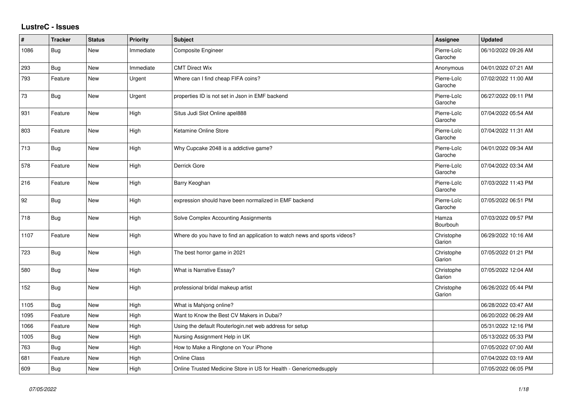## **LustreC - Issues**

| #    | <b>Tracker</b> | <b>Status</b> | <b>Priority</b> | <b>Subject</b>                                                            | Assignee               | <b>Updated</b>      |
|------|----------------|---------------|-----------------|---------------------------------------------------------------------------|------------------------|---------------------|
| 1086 | Bug            | New           | Immediate       | Composite Engineer                                                        | Pierre-Loïc<br>Garoche | 06/10/2022 09:26 AM |
| 293  | Bug            | New           | Immediate       | <b>CMT Direct Wix</b>                                                     | Anonymous              | 04/01/2022 07:21 AM |
| 793  | Feature        | New           | Urgent          | Where can I find cheap FIFA coins?                                        | Pierre-Loïc<br>Garoche | 07/02/2022 11:00 AM |
| 73   | Bug            | New           | Urgent          | properties ID is not set in Json in EMF backend                           | Pierre-Loïc<br>Garoche | 06/27/2022 09:11 PM |
| 931  | Feature        | New           | High            | Situs Judi Slot Online apel888                                            | Pierre-Loïc<br>Garoche | 07/04/2022 05:54 AM |
| 803  | Feature        | New           | High            | Ketamine Online Store                                                     | Pierre-Loïc<br>Garoche | 07/04/2022 11:31 AM |
| 713  | Bug            | <b>New</b>    | High            | Why Cupcake 2048 is a addictive game?                                     | Pierre-Loïc<br>Garoche | 04/01/2022 09:34 AM |
| 578  | Feature        | New           | High            | Derrick Gore                                                              | Pierre-Loïc<br>Garoche | 07/04/2022 03:34 AM |
| 216  | Feature        | New           | High            | Barry Keoghan                                                             | Pierre-Loïc<br>Garoche | 07/03/2022 11:43 PM |
| 92   | Bug            | New           | High            | expression should have been normalized in EMF backend                     | Pierre-Loïc<br>Garoche | 07/05/2022 06:51 PM |
| 718  | Bug            | New           | High            | Solve Complex Accounting Assignments                                      | Hamza<br>Bourbouh      | 07/03/2022 09:57 PM |
| 1107 | Feature        | New           | High            | Where do you have to find an application to watch news and sports videos? | Christophe<br>Garion   | 06/29/2022 10:16 AM |
| 723  | Bug            | New           | High            | The best horror game in 2021                                              | Christophe<br>Garion   | 07/05/2022 01:21 PM |
| 580  | Bug            | New           | High            | What is Narrative Essay?                                                  | Christophe<br>Garion   | 07/05/2022 12:04 AM |
| 152  | Bug            | <b>New</b>    | High            | professional bridal makeup artist                                         | Christophe<br>Garion   | 06/26/2022 05:44 PM |
| 1105 | Bug            | New           | High            | What is Mahjong online?                                                   |                        | 06/28/2022 03:47 AM |
| 1095 | Feature        | New           | High            | Want to Know the Best CV Makers in Dubai?                                 |                        | 06/20/2022 06:29 AM |
| 1066 | Feature        | New           | High            | Using the default Routerlogin.net web address for setup                   |                        | 05/31/2022 12:16 PM |
| 1005 | Bug            | New           | High            | Nursing Assignment Help in UK                                             |                        | 05/13/2022 05:33 PM |
| 763  | Bug            | New           | High            | How to Make a Ringtone on Your iPhone                                     |                        | 07/05/2022 07:00 AM |
| 681  | Feature        | New           | High            | <b>Online Class</b>                                                       |                        | 07/04/2022 03:19 AM |
| 609  | Bug            | New           | High            | Online Trusted Medicine Store in US for Health - Genericmedsupply         |                        | 07/05/2022 06:05 PM |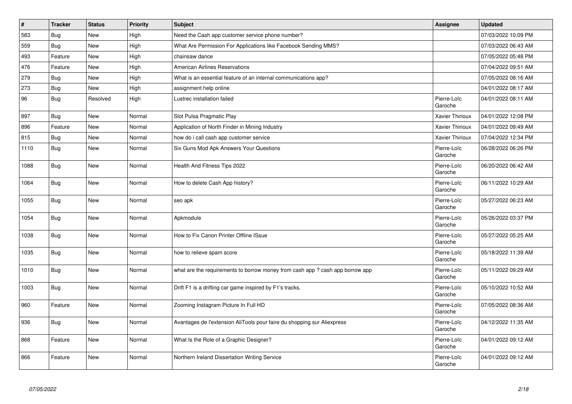| $\vert$ # | <b>Tracker</b> | <b>Status</b> | <b>Priority</b> | <b>Subject</b>                                                               | Assignee               | <b>Updated</b>      |
|-----------|----------------|---------------|-----------------|------------------------------------------------------------------------------|------------------------|---------------------|
| 583       | Bug            | <b>New</b>    | High            | Need the Cash app customer service phone number?                             |                        | 07/03/2022 10:09 PM |
| 559       | Bug            | New           | High            | What Are Permission For Applications like Facebook Sending MMS?              |                        | 07/03/2022 06:43 AM |
| 493       | Feature        | <b>New</b>    | High            | chainsaw dance                                                               |                        | 07/05/2022 05:48 PM |
| 476       | Feature        | New           | High            | <b>American Airlines Reservations</b>                                        |                        | 07/04/2022 09:51 AM |
| 279       | <b>Bug</b>     | <b>New</b>    | High            | What is an essential feature of an internal communications app?              |                        | 07/05/2022 08:16 AM |
| 273       | Bug            | <b>New</b>    | High            | assignment help online                                                       |                        | 04/01/2022 08:17 AM |
| 96        | <b>Bug</b>     | Resolved      | High            | Lustrec installation failed                                                  | Pierre-Loïc<br>Garoche | 04/01/2022 08:11 AM |
| 897       | Bug            | <b>New</b>    | Normal          | Slot Pulsa Pragmatic Play                                                    | Xavier Thirioux        | 04/01/2022 12:08 PM |
| 896       | Feature        | New           | Normal          | Application of North Finder in Mining Industry                               | Xavier Thirioux        | 04/01/2022 09:49 AM |
| 815       | Bug            | <b>New</b>    | Normal          | how do i call cash app customer service                                      | Xavier Thirioux        | 07/04/2022 12:34 PM |
| 1110      | <b>Bug</b>     | New           | Normal          | Six Guns Mod Apk Answers Your Questions                                      | Pierre-Loïc<br>Garoche | 06/28/2022 06:26 PM |
| 1088      | Bug            | New           | Normal          | Health And Fitness Tips 2022                                                 | Pierre-Loïc<br>Garoche | 06/20/2022 06:42 AM |
| 1064      | <b>Bug</b>     | New           | Normal          | How to delete Cash App history?                                              | Pierre-Loïc<br>Garoche | 06/11/2022 10:29 AM |
| 1055      | Bug            | New           | Normal          | seo apk                                                                      | Pierre-Loïc<br>Garoche | 05/27/2022 06:23 AM |
| 1054      | Bug            | <b>New</b>    | Normal          | Apkmodule                                                                    | Pierre-Loïc<br>Garoche | 05/26/2022 03:37 PM |
| 1038      | Bug            | <b>New</b>    | Normal          | How to Fix Canon Printer Offline ISsue                                       | Pierre-Loïc<br>Garoche | 05/27/2022 05:25 AM |
| 1035      | Bug            | <b>New</b>    | Normal          | how to relieve spam score                                                    | Pierre-Loïc<br>Garoche | 05/18/2022 11:39 AM |
| 1010      | Bug            | <b>New</b>    | Normal          | what are the requirements to borrow money from cash app? cash app borrow app | Pierre-Loïc<br>Garoche | 05/11/2022 09:29 AM |
| 1003      | Bug            | New           | Normal          | Drift F1 is a drifting car game inspired by F1's tracks.                     | Pierre-Loïc<br>Garoche | 05/10/2022 10:52 AM |
| 960       | Feature        | New           | Normal          | Zooming Instagram Picture In Full HD                                         | Pierre-Loïc<br>Garoche | 07/05/2022 08:36 AM |
| 936       | Bug            | <b>New</b>    | Normal          | Avantages de l'extension AliTools pour faire du shopping sur Aliexpress      | Pierre-Loïc<br>Garoche | 04/12/2022 11:35 AM |
| 868       | Feature        | New           | Normal          | What Is the Role of a Graphic Designer?                                      | Pierre-Loïc<br>Garoche | 04/01/2022 09:12 AM |
| 866       | Feature        | <b>New</b>    | Normal          | Northern Ireland Dissertation Writing Service                                | Pierre-Loïc<br>Garoche | 04/01/2022 09:12 AM |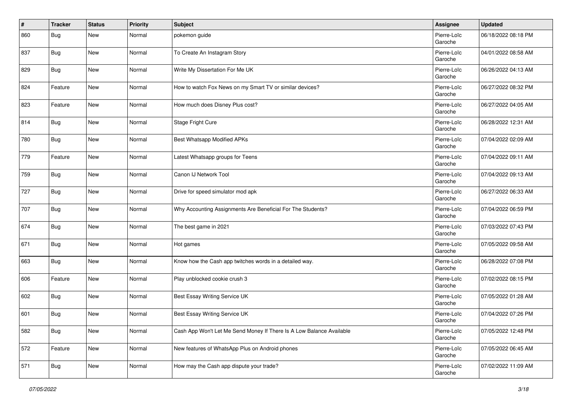| $\vert$ # | <b>Tracker</b> | <b>Status</b> | <b>Priority</b> | <b>Subject</b>                                                       | Assignee               | <b>Updated</b>      |
|-----------|----------------|---------------|-----------------|----------------------------------------------------------------------|------------------------|---------------------|
| 860       | Bug            | New           | Normal          | pokemon guide                                                        | Pierre-Loïc<br>Garoche | 06/18/2022 08:18 PM |
| 837       | Bug            | New           | Normal          | To Create An Instagram Story                                         | Pierre-Loïc<br>Garoche | 04/01/2022 08:58 AM |
| 829       | Bug            | New           | Normal          | Write My Dissertation For Me UK                                      | Pierre-Loïc<br>Garoche | 06/26/2022 04:13 AM |
| 824       | Feature        | New           | Normal          | How to watch Fox News on my Smart TV or similar devices?             | Pierre-Loïc<br>Garoche | 06/27/2022 08:32 PM |
| 823       | Feature        | New           | Normal          | How much does Disney Plus cost?                                      | Pierre-Loïc<br>Garoche | 06/27/2022 04:05 AM |
| 814       | Bug            | New           | Normal          | Stage Fright Cure                                                    | Pierre-Loïc<br>Garoche | 06/28/2022 12:31 AM |
| 780       | Bug            | New           | Normal          | <b>Best Whatsapp Modified APKs</b>                                   | Pierre-Loïc<br>Garoche | 07/04/2022 02:09 AM |
| 779       | Feature        | New           | Normal          | Latest Whatsapp groups for Teens                                     | Pierre-Loïc<br>Garoche | 07/04/2022 09:11 AM |
| 759       | Bug            | New           | Normal          | Canon IJ Network Tool                                                | Pierre-Loïc<br>Garoche | 07/04/2022 09:13 AM |
| 727       | Bug            | New           | Normal          | Drive for speed simulator mod apk                                    | Pierre-Loïc<br>Garoche | 06/27/2022 06:33 AM |
| 707       | Bug            | New           | Normal          | Why Accounting Assignments Are Beneficial For The Students?          | Pierre-Loïc<br>Garoche | 07/04/2022 06:59 PM |
| 674       | Bug            | New           | Normal          | The best game in 2021                                                | Pierre-Loïc<br>Garoche | 07/03/2022 07:43 PM |
| 671       | Bug            | New           | Normal          | Hot games                                                            | Pierre-Loïc<br>Garoche | 07/05/2022 09:58 AM |
| 663       | Bug            | New           | Normal          | Know how the Cash app twitches words in a detailed way.              | Pierre-Loïc<br>Garoche | 06/28/2022 07:08 PM |
| 606       | Feature        | New           | Normal          | Play unblocked cookie crush 3                                        | Pierre-Loïc<br>Garoche | 07/02/2022 08:15 PM |
| 602       | Bug            | New           | Normal          | Best Essay Writing Service UK                                        | Pierre-Loïc<br>Garoche | 07/05/2022 01:28 AM |
| 601       | Bug            | New           | Normal          | Best Essay Writing Service UK                                        | Pierre-Loïc<br>Garoche | 07/04/2022 07:26 PM |
| 582       | <b>Bug</b>     | New           | Normal          | Cash App Won't Let Me Send Money If There Is A Low Balance Available | Pierre-Loïc<br>Garoche | 07/05/2022 12:48 PM |
| 572       | Feature        | New           | Normal          | New features of WhatsApp Plus on Android phones                      | Pierre-Loïc<br>Garoche | 07/05/2022 06:45 AM |
| 571       | <b>Bug</b>     | New           | Normal          | How may the Cash app dispute your trade?                             | Pierre-Loïc<br>Garoche | 07/02/2022 11:09 AM |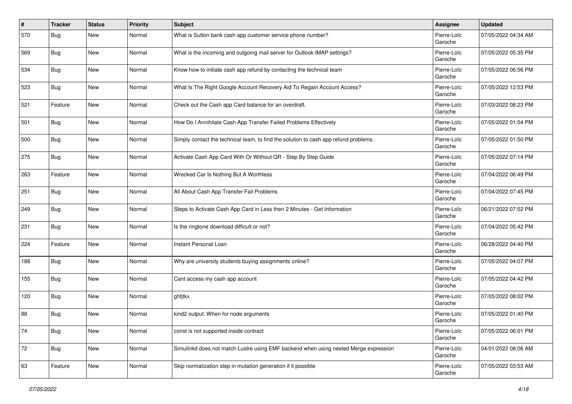| #   | <b>Tracker</b> | <b>Status</b> | <b>Priority</b> | <b>Subject</b>                                                                       | Assignee               | <b>Updated</b>      |
|-----|----------------|---------------|-----------------|--------------------------------------------------------------------------------------|------------------------|---------------------|
| 570 | <b>Bug</b>     | New           | Normal          | What is Sutton bank cash app customer service phone number?                          | Pierre-Loïc<br>Garoche | 07/05/2022 04:34 AM |
| 569 | Bug            | New           | Normal          | What is the incoming and outgoing mail server for Outlook IMAP settings?             | Pierre-Loïc<br>Garoche | 07/05/2022 05:35 PM |
| 534 | Bug            | New           | Normal          | Know how to initiate cash app refund by contacting the technical team                | Pierre-Loïc<br>Garoche | 07/05/2022 06:56 PM |
| 523 | Bug            | New           | Normal          | What Is The Right Google Account Recovery Aid To Regain Account Access?              | Pierre-Loïc<br>Garoche | 07/05/2022 12:53 PM |
| 521 | Feature        | New           | Normal          | Check out the Cash app Card balance for an overdraft.                                | Pierre-Loïc<br>Garoche | 07/03/2022 08:23 PM |
| 501 | Bug            | New           | Normal          | How Do I Annihilate Cash App Transfer Failed Problems Effectively                    | Pierre-Loïc<br>Garoche | 07/05/2022 01:54 PM |
| 500 | Bug            | New           | Normal          | Simply contact the technical team, to find the solution to cash app refund problems. | Pierre-Loïc<br>Garoche | 07/05/2022 01:50 PM |
| 275 | Bug            | <b>New</b>    | Normal          | Activate Cash App Card With Or Without QR - Step By Step Guide                       | Pierre-Loïc<br>Garoche | 07/05/2022 07:14 PM |
| 263 | Feature        | New           | Normal          | Wrecked Car Is Nothing But A Worthless                                               | Pierre-Loïc<br>Garoche | 07/04/2022 06:49 PM |
| 251 | Bug            | New           | Normal          | All About Cash App Transfer Fail Problems                                            | Pierre-Loïc<br>Garoche | 07/04/2022 07:45 PM |
| 249 | Bug            | New           | Normal          | Steps to Activate Cash App Card in Less then 2 Minutes - Get Information             | Pierre-Loïc<br>Garoche | 06/21/2022 07:52 PM |
| 231 | Bug            | New           | Normal          | Is the ringtone download difficult or not?                                           | Pierre-Loïc<br>Garoche | 07/04/2022 05:42 PM |
| 224 | Feature        | <b>New</b>    | Normal          | Instant Personal Loan                                                                | Pierre-Loïc<br>Garoche | 06/28/2022 04:40 PM |
| 188 | Bug            | New           | Normal          | Why are university students buying assignments online?                               | Pierre-Loïc<br>Garoche | 07/05/2022 04:07 PM |
| 155 | Bug            | New           | Normal          | Cant access my cash app account                                                      | Pierre-Loïc<br>Garoche | 07/05/2022 04:42 PM |
| 120 | Bug            | New           | Normal          | ghfjtkx                                                                              | Pierre-Loïc<br>Garoche | 07/05/2022 08:02 PM |
| 88  | Bug            | New           | Normal          | kind2 output: When for node arguments                                                | Pierre-Loïc<br>Garoche | 07/05/2022 01:40 PM |
| 74  | <b>Bug</b>     | New           | Normal          | const is not supported inside contract                                               | Pierre-Loïc<br>Garoche | 07/05/2022 06:01 PM |
| 72  | <b>Bug</b>     | New           | Normal          | Simulinkd does not match Lustre using EMF backend when using nested Merge expression | Pierre-Loïc<br>Garoche | 04/01/2022 08:06 AM |
| 63  | Feature        | New           | Normal          | Skip normalization step in mutation generation if it possible                        | Pierre-Loïc<br>Garoche | 07/05/2022 03:53 AM |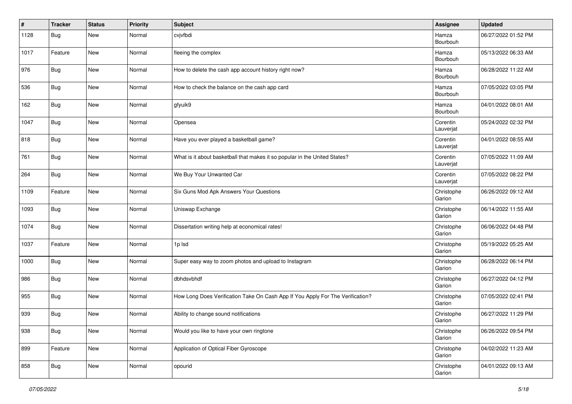| #    | <b>Tracker</b> | <b>Status</b> | <b>Priority</b> | <b>Subject</b>                                                                 | Assignee              | <b>Updated</b>      |
|------|----------------|---------------|-----------------|--------------------------------------------------------------------------------|-----------------------|---------------------|
| 1128 | Bug            | New           | Normal          | cvjvfbdi                                                                       | Hamza<br>Bourbouh     | 06/27/2022 01:52 PM |
| 1017 | Feature        | New           | Normal          | fleeing the complex                                                            | Hamza<br>Bourbouh     | 05/13/2022 06:33 AM |
| 976  | Bug            | New           | Normal          | How to delete the cash app account history right now?                          | Hamza<br>Bourbouh     | 06/28/2022 11:22 AM |
| 536  | Bug            | New           | Normal          | How to check the balance on the cash app card                                  | Hamza<br>Bourbouh     | 07/05/2022 03:05 PM |
| 162  | Bug            | New           | Normal          | gfyuik9                                                                        | Hamza<br>Bourbouh     | 04/01/2022 08:01 AM |
| 1047 | Bug            | New           | Normal          | Opensea                                                                        | Corentin<br>Lauverjat | 05/24/2022 02:32 PM |
| 818  | Bug            | New           | Normal          | Have you ever played a basketball game?                                        | Corentin<br>Lauverjat | 04/01/2022 08:55 AM |
| 761  | Bug            | New           | Normal          | What is it about basketball that makes it so popular in the United States?     | Corentin<br>Lauverjat | 07/05/2022 11:09 AM |
| 264  | <b>Bug</b>     | New           | Normal          | We Buy Your Unwanted Car                                                       | Corentin<br>Lauverjat | 07/05/2022 08:22 PM |
| 1109 | Feature        | New           | Normal          | Six Guns Mod Apk Answers Your Questions                                        | Christophe<br>Garion  | 06/26/2022 09:12 AM |
| 1093 | Bug            | New           | Normal          | Uniswap Exchange                                                               | Christophe<br>Garion  | 06/14/2022 11:55 AM |
| 1074 | Bug            | New           | Normal          | Dissertation writing help at economical rates!                                 | Christophe<br>Garion  | 06/06/2022 04:48 PM |
| 1037 | Feature        | New           | Normal          | 1p Isd                                                                         | Christophe<br>Garion  | 05/19/2022 05:25 AM |
| 1000 | Bug            | New           | Normal          | Super easy way to zoom photos and upload to Instagram                          | Christophe<br>Garion  | 06/28/2022 06:14 PM |
| 986  | Bug            | New           | Normal          | dbhdsvbhdf                                                                     | Christophe<br>Garion  | 06/27/2022 04:12 PM |
| 955  | Bug            | New           | Normal          | How Long Does Verification Take On Cash App If You Apply For The Verification? | Christophe<br>Garion  | 07/05/2022 02:41 PM |
| 939  | Bug            | New           | Normal          | Ability to change sound notifications                                          | Christophe<br>Garion  | 06/27/2022 11:29 PM |
| 938  | Bug            | New           | Normal          | Would you like to have your own ringtone                                       | Christophe<br>Garion  | 06/26/2022 09:54 PM |
| 899  | Feature        | New           | Normal          | Application of Optical Fiber Gyroscope                                         | Christophe<br>Garion  | 04/02/2022 11:23 AM |
| 858  | <b>Bug</b>     | New           | Normal          | opourid                                                                        | Christophe<br>Garion  | 04/01/2022 09:13 AM |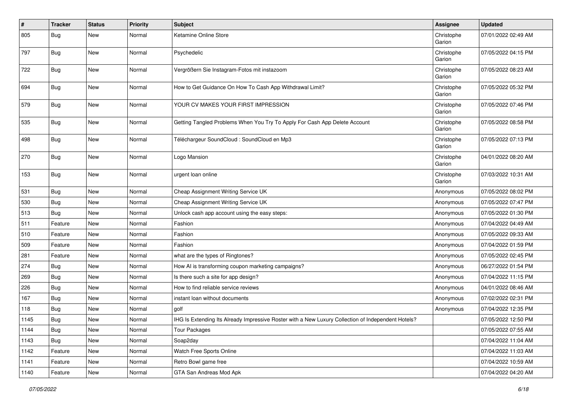| #    | <b>Tracker</b> | <b>Status</b> | <b>Priority</b> | <b>Subject</b>                                                                                     | Assignee             | <b>Updated</b>      |
|------|----------------|---------------|-----------------|----------------------------------------------------------------------------------------------------|----------------------|---------------------|
| 805  | <b>Bug</b>     | New           | Normal          | Ketamine Online Store                                                                              | Christophe<br>Garion | 07/01/2022 02:49 AM |
| 797  | Bug            | New           | Normal          | Psychedelic                                                                                        | Christophe<br>Garion | 07/05/2022 04:15 PM |
| 722  | Bug            | New           | Normal          | Vergrößern Sie Instagram-Fotos mit instazoom                                                       | Christophe<br>Garion | 07/05/2022 08:23 AM |
| 694  | Bug            | New           | Normal          | How to Get Guidance On How To Cash App Withdrawal Limit?                                           | Christophe<br>Garion | 07/05/2022 05:32 PM |
| 579  | Bug            | New           | Normal          | YOUR CV MAKES YOUR FIRST IMPRESSION                                                                | Christophe<br>Garion | 07/05/2022 07:46 PM |
| 535  | Bug            | New           | Normal          | Getting Tangled Problems When You Try To Apply For Cash App Delete Account                         | Christophe<br>Garion | 07/05/2022 08:58 PM |
| 498  | Bug            | New           | Normal          | Téléchargeur SoundCloud : SoundCloud en Mp3                                                        | Christophe<br>Garion | 07/05/2022 07:13 PM |
| 270  | Bug            | New           | Normal          | Logo Mansion                                                                                       | Christophe<br>Garion | 04/01/2022 08:20 AM |
| 153  | Bug            | New           | Normal          | urgent loan online                                                                                 | Christophe<br>Garion | 07/03/2022 10:31 AM |
| 531  | Bug            | New           | Normal          | Cheap Assignment Writing Service UK                                                                | Anonymous            | 07/05/2022 08:02 PM |
| 530  | Bug            | New           | Normal          | Cheap Assignment Writing Service UK                                                                | Anonymous            | 07/05/2022 07:47 PM |
| 513  | Bug            | New           | Normal          | Unlock cash app account using the easy steps:                                                      | Anonymous            | 07/05/2022 01:30 PM |
| 511  | Feature        | New           | Normal          | Fashion                                                                                            | Anonymous            | 07/04/2022 04:49 AM |
| 510  | Feature        | New           | Normal          | Fashion                                                                                            | Anonymous            | 07/05/2022 09:33 AM |
| 509  | Feature        | New           | Normal          | Fashion                                                                                            | Anonymous            | 07/04/2022 01:59 PM |
| 281  | Feature        | New           | Normal          | what are the types of Ringtones?                                                                   | Anonymous            | 07/05/2022 02:45 PM |
| 274  | <b>Bug</b>     | New           | Normal          | How AI is transforming coupon marketing campaigns?                                                 | Anonymous            | 06/27/2022 01:54 PM |
| 269  | <b>Bug</b>     | New           | Normal          | Is there such a site for app design?                                                               | Anonymous            | 07/04/2022 11:15 PM |
| 226  | Bug            | New           | Normal          | How to find reliable service reviews                                                               | Anonymous            | 04/01/2022 08:46 AM |
| 167  | <b>Bug</b>     | New           | Normal          | instant loan without documents                                                                     | Anonymous            | 07/02/2022 02:31 PM |
| 118  | <b>Bug</b>     | New           | Normal          | golf                                                                                               | Anonymous            | 07/04/2022 12:35 PM |
| 1145 | Bug            | New           | Normal          | IHG Is Extending Its Already Impressive Roster with a New Luxury Collection of Independent Hotels? |                      | 07/05/2022 12:50 PM |
| 1144 | Bug            | New           | Normal          | <b>Tour Packages</b>                                                                               |                      | 07/05/2022 07:55 AM |
| 1143 | Bug            | New           | Normal          | Soap2day                                                                                           |                      | 07/04/2022 11:04 AM |
| 1142 | Feature        | New           | Normal          | Watch Free Sports Online                                                                           |                      | 07/04/2022 11:03 AM |
| 1141 | Feature        | New           | Normal          | Retro Bowl game free                                                                               |                      | 07/04/2022 10:59 AM |
| 1140 | Feature        | New           | Normal          | GTA San Andreas Mod Apk                                                                            |                      | 07/04/2022 04:20 AM |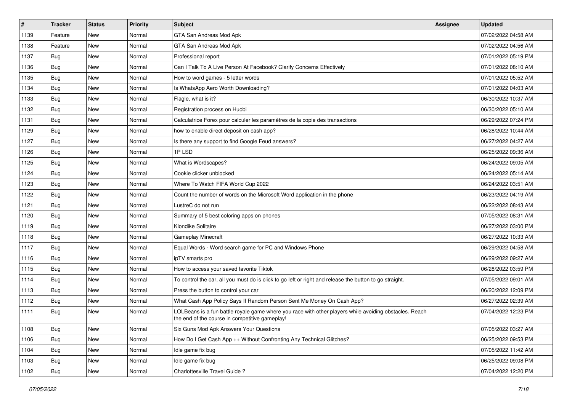| #    | <b>Tracker</b> | <b>Status</b> | Priority | Subject                                                                                                                                                  | <b>Assignee</b> | <b>Updated</b>      |
|------|----------------|---------------|----------|----------------------------------------------------------------------------------------------------------------------------------------------------------|-----------------|---------------------|
| 1139 | Feature        | New           | Normal   | GTA San Andreas Mod Apk                                                                                                                                  |                 | 07/02/2022 04:58 AM |
| 1138 | Feature        | <b>New</b>    | Normal   | GTA San Andreas Mod Apk                                                                                                                                  |                 | 07/02/2022 04:56 AM |
| 1137 | Bug            | New           | Normal   | Professional report                                                                                                                                      |                 | 07/01/2022 05:19 PM |
| 1136 | Bug            | New           | Normal   | Can I Talk To A Live Person At Facebook? Clarify Concerns Effectively                                                                                    |                 | 07/01/2022 08:10 AM |
| 1135 | Bug            | New           | Normal   | How to word games - 5 letter words                                                                                                                       |                 | 07/01/2022 05:52 AM |
| 1134 | Bug            | New           | Normal   | Is WhatsApp Aero Worth Downloading?                                                                                                                      |                 | 07/01/2022 04:03 AM |
| 1133 | Bug            | New           | Normal   | Flagle, what is it?                                                                                                                                      |                 | 06/30/2022 10:37 AM |
| 1132 | Bug            | New           | Normal   | Registration process on Huobi                                                                                                                            |                 | 06/30/2022 05:10 AM |
| 1131 | Bug            | New           | Normal   | Calculatrice Forex pour calculer les paramètres de la copie des transactions                                                                             |                 | 06/29/2022 07:24 PM |
| 1129 | Bug            | New           | Normal   | how to enable direct deposit on cash app?                                                                                                                |                 | 06/28/2022 10:44 AM |
| 1127 | Bug            | New           | Normal   | Is there any support to find Google Feud answers?                                                                                                        |                 | 06/27/2022 04:27 AM |
| 1126 | Bug            | New           | Normal   | 1PLSD                                                                                                                                                    |                 | 06/25/2022 09:36 AM |
| 1125 | Bug            | New           | Normal   | What is Wordscapes?                                                                                                                                      |                 | 06/24/2022 09:05 AM |
| 1124 | Bug            | New           | Normal   | Cookie clicker unblocked                                                                                                                                 |                 | 06/24/2022 05:14 AM |
| 1123 | Bug            | New           | Normal   | Where To Watch FIFA World Cup 2022                                                                                                                       |                 | 06/24/2022 03:51 AM |
| 1122 | <b>Bug</b>     | New           | Normal   | Count the number of words on the Microsoft Word application in the phone                                                                                 |                 | 06/23/2022 04:19 AM |
| 1121 | Bug            | New           | Normal   | LustreC do not run                                                                                                                                       |                 | 06/22/2022 08:43 AM |
| 1120 | Bug            | New           | Normal   | Summary of 5 best coloring apps on phones                                                                                                                |                 | 07/05/2022 08:31 AM |
| 1119 | Bug            | New           | Normal   | Klondike Solitaire                                                                                                                                       |                 | 06/27/2022 03:00 PM |
| 1118 | Bug            | New           | Normal   | <b>Gameplay Minecraft</b>                                                                                                                                |                 | 06/27/2022 10:33 AM |
| 1117 | Bug            | New           | Normal   | Equal Words - Word search game for PC and Windows Phone                                                                                                  |                 | 06/29/2022 04:58 AM |
| 1116 | Bug            | New           | Normal   | ipTV smarts pro                                                                                                                                          |                 | 06/29/2022 09:27 AM |
| 1115 | Bug            | New           | Normal   | How to access your saved favorite Tiktok                                                                                                                 |                 | 06/28/2022 03:59 PM |
| 1114 | Bug            | New           | Normal   | To control the car, all you must do is click to go left or right and release the button to go straight.                                                  |                 | 07/05/2022 09:01 AM |
| 1113 | <b>Bug</b>     | New           | Normal   | Press the button to control your car                                                                                                                     |                 | 06/20/2022 12:09 PM |
| 1112 | Bug            | New           | Normal   | What Cash App Policy Says If Random Person Sent Me Money On Cash App?                                                                                    |                 | 06/27/2022 02:39 AM |
| 1111 | <b>Bug</b>     | New           | Normal   | LOLBeans is a fun battle royale game where you race with other players while avoiding obstacles. Reach<br>the end of the course in competitive gameplay! |                 | 07/04/2022 12:23 PM |
| 1108 | <b>Bug</b>     | New           | Normal   | Six Guns Mod Apk Answers Your Questions                                                                                                                  |                 | 07/05/2022 03:27 AM |
| 1106 | Bug            | New           | Normal   | How Do I Get Cash App ++ Without Confronting Any Technical Glitches?                                                                                     |                 | 06/25/2022 09:53 PM |
| 1104 | <b>Bug</b>     | New           | Normal   | Idle game fix bug                                                                                                                                        |                 | 07/05/2022 11:42 AM |
| 1103 | <b>Bug</b>     | New           | Normal   | Idle game fix bug                                                                                                                                        |                 | 06/25/2022 09:08 PM |
| 1102 | <b>Bug</b>     | New           | Normal   | Charlottesville Travel Guide?                                                                                                                            |                 | 07/04/2022 12:20 PM |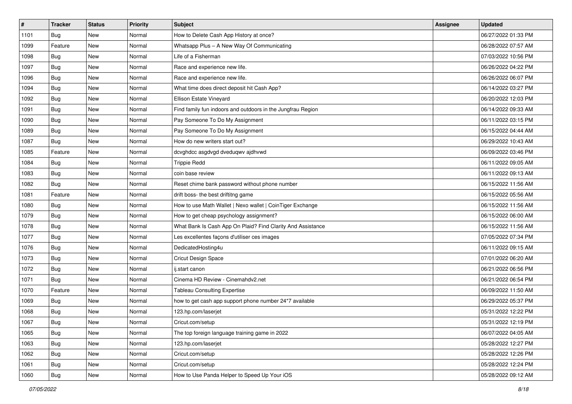| $\vert$ # | <b>Tracker</b> | <b>Status</b> | <b>Priority</b> | <b>Subject</b>                                              | <b>Assignee</b> | <b>Updated</b>      |
|-----------|----------------|---------------|-----------------|-------------------------------------------------------------|-----------------|---------------------|
| 1101      | <b>Bug</b>     | New           | Normal          | How to Delete Cash App History at once?                     |                 | 06/27/2022 01:33 PM |
| 1099      | Feature        | <b>New</b>    | Normal          | Whatsapp Plus - A New Way Of Communicating                  |                 | 06/28/2022 07:57 AM |
| 1098      | <b>Bug</b>     | New           | Normal          | Life of a Fisherman                                         |                 | 07/03/2022 10:56 PM |
| 1097      | <b>Bug</b>     | New           | Normal          | Race and experience new life.                               |                 | 06/26/2022 04:22 PM |
| 1096      | Bug            | New           | Normal          | Race and experience new life.                               |                 | 06/26/2022 06:07 PM |
| 1094      | <b>Bug</b>     | New           | Normal          | What time does direct deposit hit Cash App?                 |                 | 06/14/2022 03:27 PM |
| 1092      | Bug            | New           | Normal          | Ellison Estate Vineyard                                     |                 | 06/20/2022 12:03 PM |
| 1091      | Bug            | New           | Normal          | Find family fun indoors and outdoors in the Jungfrau Region |                 | 06/14/2022 09:33 AM |
| 1090      | <b>Bug</b>     | New           | Normal          | Pay Someone To Do My Assignment                             |                 | 06/11/2022 03:15 PM |
| 1089      | Bug            | New           | Normal          | Pay Someone To Do My Assignment                             |                 | 06/15/2022 04:44 AM |
| 1087      | Bug            | New           | Normal          | How do new writers start out?                               |                 | 06/29/2022 10:43 AM |
| 1085      | Feature        | New           | Normal          | dcvghdcc asgdvgd dveduqwv ajdhvwd                           |                 | 06/09/2022 03:46 PM |
| 1084      | Bug            | New           | Normal          | <b>Trippie Redd</b>                                         |                 | 06/11/2022 09:05 AM |
| 1083      | <b>Bug</b>     | New           | Normal          | coin base review                                            |                 | 06/11/2022 09:13 AM |
| 1082      | Bug            | New           | Normal          | Reset chime bank password without phone number              |                 | 06/15/2022 11:56 AM |
| 1081      | Feature        | New           | Normal          | drift boss- the best driftitng game                         |                 | 06/15/2022 05:56 AM |
| 1080      | <b>Bug</b>     | New           | Normal          | How to use Math Wallet   Nexo wallet   CoinTiger Exchange   |                 | 06/15/2022 11:56 AM |
| 1079      | <b>Bug</b>     | New           | Normal          | How to get cheap psychology assignment?                     |                 | 06/15/2022 06:00 AM |
| 1078      | Bug            | New           | Normal          | What Bank Is Cash App On Plaid? Find Clarity And Assistance |                 | 06/15/2022 11:56 AM |
| 1077      | Bug            | New           | Normal          | Les excellentes façons d'utiliser ces images                |                 | 07/05/2022 07:34 PM |
| 1076      | Bug            | New           | Normal          | DedicatedHosting4u                                          |                 | 06/11/2022 09:15 AM |
| 1073      | Bug            | New           | Normal          | <b>Cricut Design Space</b>                                  |                 | 07/01/2022 06:20 AM |
| 1072      | Bug            | New           | Normal          | ij.start canon                                              |                 | 06/21/2022 06:56 PM |
| 1071      | Bug            | New           | Normal          | Cinema HD Review - Cinemahdv2.net                           |                 | 06/21/2022 06:54 PM |
| 1070      | Feature        | New           | Normal          | <b>Tableau Consulting Expertise</b>                         |                 | 06/09/2022 11:50 AM |
| 1069      | <b>Bug</b>     | New           | Normal          | how to get cash app support phone number 24*7 available     |                 | 06/29/2022 05:37 PM |
| 1068      | <b>Bug</b>     | New           | Normal          | 123.hp.com/laserjet                                         |                 | 05/31/2022 12:22 PM |
| 1067      | I Bug          | New           | Normal          | Cricut.com/setup                                            |                 | 05/31/2022 12:19 PM |
| 1065      | Bug            | New           | Normal          | The top foreign language training game in 2022              |                 | 06/07/2022 04:05 AM |
| 1063      | <b>Bug</b>     | New           | Normal          | 123.hp.com/laserjet                                         |                 | 05/28/2022 12:27 PM |
| 1062      | <b>Bug</b>     | New           | Normal          | Cricut.com/setup                                            |                 | 05/28/2022 12:26 PM |
| 1061      | Bug            | New           | Normal          | Cricut.com/setup                                            |                 | 05/28/2022 12:24 PM |
| 1060      | <b>Bug</b>     | New           | Normal          | How to Use Panda Helper to Speed Up Your iOS                |                 | 05/28/2022 09:12 AM |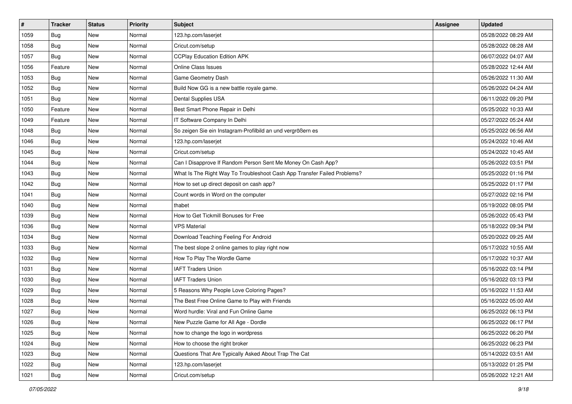| $\pmb{\#}$ | <b>Tracker</b> | <b>Status</b> | <b>Priority</b> | <b>Subject</b>                                                           | <b>Assignee</b> | <b>Updated</b>      |
|------------|----------------|---------------|-----------------|--------------------------------------------------------------------------|-----------------|---------------------|
| 1059       | <b>Bug</b>     | New           | Normal          | 123.hp.com/laserjet                                                      |                 | 05/28/2022 08:29 AM |
| 1058       | Bug            | <b>New</b>    | Normal          | Cricut.com/setup                                                         |                 | 05/28/2022 08:28 AM |
| 1057       | <b>Bug</b>     | New           | Normal          | <b>CCPlay Education Edition APK</b>                                      |                 | 06/07/2022 04:07 AM |
| 1056       | Feature        | New           | Normal          | <b>Online Class Issues</b>                                               |                 | 05/28/2022 12:44 AM |
| 1053       | Bug            | New           | Normal          | Game Geometry Dash                                                       |                 | 05/26/2022 11:30 AM |
| 1052       | <b>Bug</b>     | New           | Normal          | Build Now GG is a new battle royale game.                                |                 | 05/26/2022 04:24 AM |
| 1051       | Bug            | New           | Normal          | Dental Supplies USA                                                      |                 | 06/11/2022 09:20 PM |
| 1050       | Feature        | New           | Normal          | Best Smart Phone Repair in Delhi                                         |                 | 05/25/2022 10:33 AM |
| 1049       | Feature        | New           | Normal          | IT Software Company In Delhi                                             |                 | 05/27/2022 05:24 AM |
| 1048       | Bug            | <b>New</b>    | Normal          | So zeigen Sie ein Instagram-Profilbild an und vergrößern es              |                 | 05/25/2022 06:56 AM |
| 1046       | Bug            | New           | Normal          | 123.hp.com/laserjet                                                      |                 | 05/24/2022 10:46 AM |
| 1045       | Bug            | New           | Normal          | Cricut.com/setup                                                         |                 | 05/24/2022 10:45 AM |
| 1044       | Bug            | New           | Normal          | Can I Disapprove If Random Person Sent Me Money On Cash App?             |                 | 05/26/2022 03:51 PM |
| 1043       | Bug            | New           | Normal          | What Is The Right Way To Troubleshoot Cash App Transfer Failed Problems? |                 | 05/25/2022 01:16 PM |
| 1042       | Bug            | New           | Normal          | How to set up direct deposit on cash app?                                |                 | 05/25/2022 01:17 PM |
| 1041       | Bug            | New           | Normal          | Count words in Word on the computer                                      |                 | 05/27/2022 02:16 PM |
| 1040       | Bug            | New           | Normal          | thabet                                                                   |                 | 05/19/2022 08:05 PM |
| 1039       | Bug            | New           | Normal          | How to Get Tickmill Bonuses for Free                                     |                 | 05/26/2022 05:43 PM |
| 1036       | Bug            | New           | Normal          | <b>VPS Material</b>                                                      |                 | 05/18/2022 09:34 PM |
| 1034       | Bug            | New           | Normal          | Download Teaching Feeling For Android                                    |                 | 05/20/2022 09:25 AM |
| 1033       | Bug            | New           | Normal          | The best slope 2 online games to play right now                          |                 | 05/17/2022 10:55 AM |
| 1032       | Bug            | New           | Normal          | How To Play The Wordle Game                                              |                 | 05/17/2022 10:37 AM |
| 1031       | Bug            | New           | Normal          | <b>IAFT Traders Union</b>                                                |                 | 05/16/2022 03:14 PM |
| 1030       | <b>Bug</b>     | New           | Normal          | <b>IAFT Traders Union</b>                                                |                 | 05/16/2022 03:13 PM |
| 1029       | Bug            | New           | Normal          | 5 Reasons Why People Love Coloring Pages?                                |                 | 05/16/2022 11:53 AM |
| 1028       | <b>Bug</b>     | New           | Normal          | The Best Free Online Game to Play with Friends                           |                 | 05/16/2022 05:00 AM |
| 1027       | <b>Bug</b>     | New           | Normal          | Word hurdle: Viral and Fun Online Game                                   |                 | 06/25/2022 06:13 PM |
| 1026       | i Bug          | New           | Normal          | New Puzzle Game for All Age - Dordle                                     |                 | 06/25/2022 06:17 PM |
| 1025       | <b>Bug</b>     | New           | Normal          | how to change the logo in wordpress                                      |                 | 06/25/2022 06:20 PM |
| 1024       | <b>Bug</b>     | New           | Normal          | How to choose the right broker                                           |                 | 06/25/2022 06:23 PM |
| 1023       | Bug            | New           | Normal          | Questions That Are Typically Asked About Trap The Cat                    |                 | 05/14/2022 03:51 AM |
| 1022       | <b>Bug</b>     | New           | Normal          | 123.hp.com/laserjet                                                      |                 | 05/13/2022 01:25 PM |
| 1021       | <b>Bug</b>     | New           | Normal          | Cricut.com/setup                                                         |                 | 05/26/2022 12:21 AM |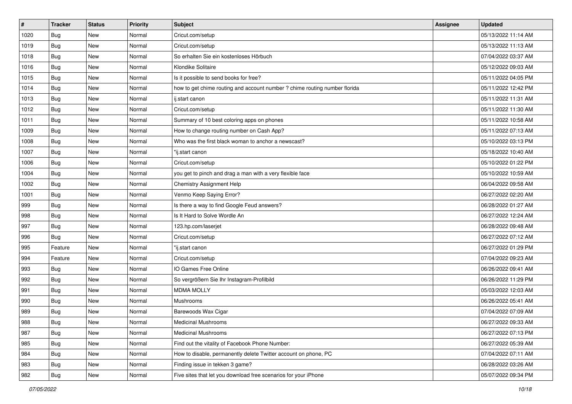| #    | <b>Tracker</b> | <b>Status</b> | Priority | <b>Subject</b>                                                             | Assignee | <b>Updated</b>      |
|------|----------------|---------------|----------|----------------------------------------------------------------------------|----------|---------------------|
| 1020 | Bug            | New           | Normal   | Cricut.com/setup                                                           |          | 05/13/2022 11:14 AM |
| 1019 | Bug            | New           | Normal   | Cricut.com/setup                                                           |          | 05/13/2022 11:13 AM |
| 1018 | Bug            | New           | Normal   | So erhalten Sie ein kostenloses Hörbuch                                    |          | 07/04/2022 03:37 AM |
| 1016 | Bug            | New           | Normal   | Klondike Solitaire                                                         |          | 05/12/2022 09:03 AM |
| 1015 | <b>Bug</b>     | New           | Normal   | Is it possible to send books for free?                                     |          | 05/11/2022 04:05 PM |
| 1014 | Bug            | New           | Normal   | how to get chime routing and account number ? chime routing number florida |          | 05/11/2022 12:42 PM |
| 1013 | Bug            | New           | Normal   | ij.start canon                                                             |          | 05/11/2022 11:31 AM |
| 1012 | Bug            | New           | Normal   | Cricut.com/setup                                                           |          | 05/11/2022 11:30 AM |
| 1011 | Bug            | New           | Normal   | Summary of 10 best coloring apps on phones                                 |          | 05/11/2022 10:58 AM |
| 1009 | Bug            | New           | Normal   | How to change routing number on Cash App?                                  |          | 05/11/2022 07:13 AM |
| 1008 | Bug            | New           | Normal   | Who was the first black woman to anchor a newscast?                        |          | 05/10/2022 03:13 PM |
| 1007 | Bug            | New           | Normal   | "ij.start canon                                                            |          | 05/18/2022 10:40 AM |
| 1006 | Bug            | New           | Normal   | Cricut.com/setup                                                           |          | 05/10/2022 01:22 PM |
| 1004 | Bug            | New           | Normal   | you get to pinch and drag a man with a very flexible face                  |          | 05/10/2022 10:59 AM |
| 1002 | <b>Bug</b>     | New           | Normal   | <b>Chemistry Assignment Help</b>                                           |          | 06/04/2022 09:58 AM |
| 1001 | Bug            | New           | Normal   | Venmo Keep Saying Error?                                                   |          | 06/27/2022 02:20 AM |
| 999  | Bug            | New           | Normal   | Is there a way to find Google Feud answers?                                |          | 06/28/2022 01:27 AM |
| 998  | Bug            | New           | Normal   | Is It Hard to Solve Wordle An                                              |          | 06/27/2022 12:24 AM |
| 997  | Bug            | New           | Normal   | 123.hp.com/laserjet                                                        |          | 06/28/2022 09:48 AM |
| 996  | <b>Bug</b>     | New           | Normal   | Cricut.com/setup                                                           |          | 06/27/2022 07:12 AM |
| 995  | Feature        | New           | Normal   | "ij.start canon                                                            |          | 06/27/2022 01:29 PM |
| 994  | Feature        | New           | Normal   | Cricut.com/setup                                                           |          | 07/04/2022 09:23 AM |
| 993  | Bug            | New           | Normal   | IO Games Free Online                                                       |          | 06/26/2022 09:41 AM |
| 992  | Bug            | New           | Normal   | So vergrößern Sie Ihr Instagram-Profilbild                                 |          | 06/26/2022 11:29 PM |
| 991  | Bug            | New           | Normal   | <b>MDMA MOLLY</b>                                                          |          | 05/03/2022 12:03 AM |
| 990  | Bug            | New           | Normal   | Mushrooms                                                                  |          | 06/26/2022 05:41 AM |
| 989  | <b>Bug</b>     | New           | Normal   | Barewoods Wax Cigar                                                        |          | 07/04/2022 07:09 AM |
| 988  | <b>Bug</b>     | New           | Normal   | Medicinal Mushrooms                                                        |          | 06/27/2022 09:33 AM |
| 987  | <b>Bug</b>     | New           | Normal   | <b>Medicinal Mushrooms</b>                                                 |          | 06/27/2022 07:13 PM |
| 985  | Bug            | New           | Normal   | Find out the vitality of Facebook Phone Number:                            |          | 06/27/2022 05:39 AM |
| 984  | Bug            | New           | Normal   | How to disable, permanently delete Twitter account on phone, PC            |          | 07/04/2022 07:11 AM |
| 983  | <b>Bug</b>     | New           | Normal   | Finding issue in tekken 3 game?                                            |          | 06/28/2022 03:26 AM |
| 982  | <b>Bug</b>     | New           | Normal   | Five sites that let you download free scenarios for your iPhone            |          | 05/07/2022 09:34 PM |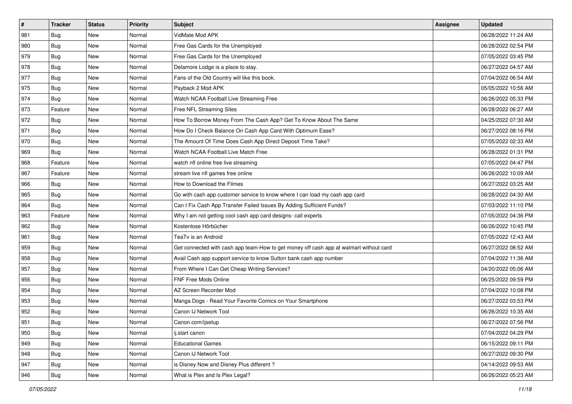| $\vert$ # | <b>Tracker</b> | <b>Status</b> | <b>Priority</b> | <b>Subject</b>                                                                         | <b>Assignee</b> | <b>Updated</b>      |
|-----------|----------------|---------------|-----------------|----------------------------------------------------------------------------------------|-----------------|---------------------|
| 981       | Bug            | New           | Normal          | VidMate Mod APK                                                                        |                 | 06/28/2022 11:24 AM |
| 980       | Bug            | <b>New</b>    | Normal          | Free Gas Cards for the Unemployed                                                      |                 | 06/28/2022 02:54 PM |
| 979       | <b>Bug</b>     | New           | Normal          | Free Gas Cards for the Unemployed                                                      |                 | 07/05/2022 03:45 PM |
| 978       | <b>Bug</b>     | New           | Normal          | Delamore Lodge is a place to stay.                                                     |                 | 06/27/2022 04:57 AM |
| 977       | <b>Bug</b>     | New           | Normal          | Fans of the Old Country will like this book.                                           |                 | 07/04/2022 06:54 AM |
| 975       | Bug            | New           | Normal          | Payback 2 Mod APK                                                                      |                 | 05/05/2022 10:56 AM |
| 974       | <b>Bug</b>     | New           | Normal          | Watch NCAA Football Live Streaming Free                                                |                 | 06/26/2022 05:33 PM |
| 973       | Feature        | New           | Normal          | Free NFL Streaming Sites                                                               |                 | 06/28/2022 06:27 AM |
| 972       | <b>Bug</b>     | New           | Normal          | How To Borrow Money From The Cash App? Get To Know About The Same                      |                 | 04/25/2022 07:30 AM |
| 971       | Bug            | New           | Normal          | How Do I Check Balance On Cash App Card With Optimum Ease?                             |                 | 06/27/2022 08:16 PM |
| 970       | <b>Bug</b>     | New           | Normal          | The Amount Of Time Does Cash App Direct Deposit Time Take?                             |                 | 07/05/2022 02:33 AM |
| 969       | <b>Bug</b>     | New           | Normal          | Watch NCAA Football Live Match Free                                                    |                 | 06/28/2022 01:31 PM |
| 968       | Feature        | New           | Normal          | watch nfl online free live streaming                                                   |                 | 07/05/2022 04:47 PM |
| 967       | Feature        | New           | Normal          | stream live nfl games free online                                                      |                 | 06/26/2022 10:09 AM |
| 966       | <b>Bug</b>     | New           | Normal          | How to Download the Filmes                                                             |                 | 06/27/2022 03:25 AM |
| 965       | <b>Bug</b>     | New           | Normal          | Go with cash app customer service to know where I can load my cash app card            |                 | 06/28/2022 04:30 AM |
| 964       | Bug            | New           | Normal          | Can I Fix Cash App Transfer Failed Issues By Adding Sufficient Funds?                  |                 | 07/03/2022 11:10 PM |
| 963       | Feature        | New           | Normal          | Why I am not getting cool cash app card designs- call experts                          |                 | 07/05/2022 04:36 PM |
| 962       | Bug            | New           | Normal          | Kostenlose Hörbücher                                                                   |                 | 06/26/2022 10:45 PM |
| 961       | <b>Bug</b>     | New           | Normal          | TeaTv is an Android                                                                    |                 | 07/05/2022 12:43 AM |
| 959       | Bug            | New           | Normal          | Get connected with cash app team-How to get money off cash app at walmart without card |                 | 06/27/2022 08:52 AM |
| 958       | <b>Bug</b>     | New           | Normal          | Avail Cash app support service to know Sutton bank cash app number                     |                 | 07/04/2022 11:36 AM |
| 957       | Bug            | New           | Normal          | From Where I Can Get Cheap Writing Services?                                           |                 | 04/20/2022 05:06 AM |
| 956       | <b>Bug</b>     | New           | Normal          | FNF Free Mods Online                                                                   |                 | 06/25/2022 09:59 PM |
| 954       | Bug            | New           | Normal          | AZ Screen Recorder Mod                                                                 |                 | 07/04/2022 10:08 PM |
| 953       | Bug            | New           | Normal          | Manga Dogs - Read Your Favorite Comics on Your Smartphone                              |                 | 06/27/2022 03:53 PM |
| 952       | <b>Bug</b>     | New           | Normal          | Canon IJ Network Tool                                                                  |                 | 06/26/2022 10:35 AM |
| 951       | Bug            | New           | Normal          | Canon.com/ijsetup                                                                      |                 | 06/27/2022 07:56 PM |
| 950       | <b>Bug</b>     | New           | Normal          | ij.start canon                                                                         |                 | 07/04/2022 04:29 PM |
| 949       | Bug            | New           | Normal          | <b>Educational Games</b>                                                               |                 | 06/15/2022 09:11 PM |
| 948       | Bug            | New           | Normal          | Canon IJ Network Tool                                                                  |                 | 06/27/2022 09:30 PM |
| 947       | Bug            | New           | Normal          | is Disney Now and Disney Plus different?                                               |                 | 04/14/2022 09:53 AM |
| 946       | <b>Bug</b>     | New           | Normal          | What is Plex and Is Plex Legal?                                                        |                 | 06/26/2022 05:23 AM |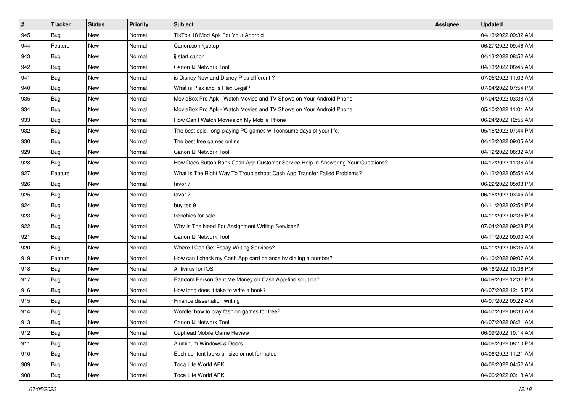| $\vert$ #     | <b>Tracker</b> | <b>Status</b> | <b>Priority</b> | <b>Subject</b>                                                                   | <b>Assignee</b> | <b>Updated</b>      |
|---------------|----------------|---------------|-----------------|----------------------------------------------------------------------------------|-----------------|---------------------|
| 945           | Bug            | New           | Normal          | TikTok 18 Mod Apk For Your Android                                               |                 | 04/13/2022 09:32 AM |
| 944           | Feature        | <b>New</b>    | Normal          | Canon.com/ijsetup                                                                |                 | 06/27/2022 09:46 AM |
| 943           | <b>Bug</b>     | New           | Normal          | ij.start canon                                                                   |                 | 04/13/2022 08:52 AM |
| 942           | <b>Bug</b>     | New           | Normal          | Canon IJ Network Tool                                                            |                 | 04/13/2022 08:45 AM |
| 941           | <b>Bug</b>     | New           | Normal          | is Disney Now and Disney Plus different?                                         |                 | 07/05/2022 11:02 AM |
| 940           | Bug            | New           | Normal          | What is Plex and Is Plex Legal?                                                  |                 | 07/04/2022 07:54 PM |
| 935           | <b>Bug</b>     | New           | Normal          | MovieBox Pro Apk - Watch Movies and TV Shows on Your Android Phone               |                 | 07/04/2022 03:38 AM |
| 934           | <b>Bug</b>     | New           | Normal          | MovieBox Pro Apk - Watch Movies and TV Shows on Your Android Phone               |                 | 05/10/2022 11:01 AM |
| 933           | <b>Bug</b>     | New           | Normal          | How Can I Watch Movies on My Mobile Phone                                        |                 | 06/24/2022 12:55 AM |
| 932           | <b>Bug</b>     | New           | Normal          | The best epic, long-playing PC games will consume days of your life.             |                 | 05/15/2022 07:44 PM |
| 930           | <b>Bug</b>     | New           | Normal          | The best free games online                                                       |                 | 04/12/2022 09:05 AM |
| 929           | <b>Bug</b>     | New           | Normal          | Canon IJ Network Tool                                                            |                 | 04/12/2022 08:32 AM |
| 928           | <b>Bug</b>     | New           | Normal          | How Does Sutton Bank Cash App Customer Service Help In Answering Your Questions? |                 | 04/12/2022 11:36 AM |
| 927           | Feature        | New           | Normal          | What Is The Right Way To Troubleshoot Cash App Transfer Failed Problems?         |                 | 04/12/2022 05:54 AM |
| 926           | <b>Bug</b>     | New           | Normal          | tavor 7                                                                          |                 | 06/22/2022 05:08 PM |
| 925           | <b>Bug</b>     | New           | Normal          | tavor 7                                                                          |                 | 06/15/2022 03:45 AM |
| 924           | <b>Bug</b>     | New           | Normal          | buy tec 9                                                                        |                 | 04/11/2022 02:54 PM |
| 923           | Bug            | New           | Normal          | frenchies for sale                                                               |                 | 04/11/2022 02:35 PM |
| 922           | Bug            | New           | Normal          | Why Is The Need For Assignment Writing Services?                                 |                 | 07/04/2022 09:28 PM |
| 921           | <b>Bug</b>     | New           | Normal          | Canon IJ Network Tool                                                            |                 | 04/11/2022 09:00 AM |
| 920           | Bug            | New           | Normal          | Where I Can Get Essay Writing Services?                                          |                 | 04/11/2022 08:35 AM |
| 919           | Feature        | New           | Normal          | How can I check my Cash App card balance by dialing a number?                    |                 | 04/10/2022 09:07 AM |
| 918           | Bug            | New           | Normal          | Antivirus for IOS                                                                |                 | 06/16/2022 10:36 PM |
| 917           | <b>Bug</b>     | New           | Normal          | Random Person Sent Me Money on Cash App-find solution?                           |                 | 04/09/2022 12:32 PM |
| 916           | <b>Bug</b>     | New           | Normal          | How long does it take to write a book?                                           |                 | 04/07/2022 12:15 PM |
| 915           | Bug            | New           | Normal          | Finance dissertation writing                                                     |                 | 04/07/2022 09:22 AM |
| 914           | <b>Bug</b>     | New           | Normal          | Wordle: how to play fashion games for free?                                      |                 | 04/07/2022 08:30 AM |
| 913           | Bug            | New           | Normal          | Canon IJ Network Tool                                                            |                 | 04/07/2022 06:21 AM |
| 912           | Bug            | New           | Normal          | Cuphead Mobile Game Review                                                       |                 | 06/09/2022 10:14 AM |
| 911           | Bug            | New           | Normal          | Aluminum Windows & Doors                                                         |                 | 04/06/2022 08:10 PM |
| 910           | Bug            | New           | Normal          | Each content looks unisize or not formated                                       |                 | 04/06/2022 11:21 AM |
| $ 909\rangle$ | Bug            | New           | Normal          | Toca Life World APK                                                              |                 | 04/06/2022 04:52 AM |
| 908           | <b>Bug</b>     | New           | Normal          | Toca Life World APK                                                              |                 | 04/06/2022 03:18 AM |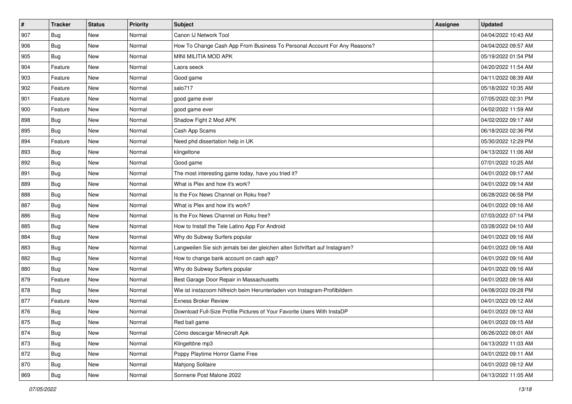| $\vert$ # | <b>Tracker</b> | <b>Status</b> | <b>Priority</b> | <b>Subject</b>                                                              | <b>Assignee</b> | <b>Updated</b>      |
|-----------|----------------|---------------|-----------------|-----------------------------------------------------------------------------|-----------------|---------------------|
| 907       | <b>Bug</b>     | New           | Normal          | Canon IJ Network Tool                                                       |                 | 04/04/2022 10:43 AM |
| 906       | Bug            | New           | Normal          | How To Change Cash App From Business To Personal Account For Any Reasons?   |                 | 04/04/2022 09:57 AM |
| 905       | Bug            | New           | Normal          | MINI MILITIA MOD APK                                                        |                 | 05/19/2022 01:54 PM |
| 904       | Feature        | New           | Normal          | Laora seeck                                                                 |                 | 04/20/2022 11:54 AM |
| 903       | Feature        | New           | Normal          | Good game                                                                   |                 | 04/11/2022 08:39 AM |
| 902       | Feature        | New           | Normal          | salo717                                                                     |                 | 05/18/2022 10:35 AM |
| 901       | Feature        | New           | Normal          | good game ever                                                              |                 | 07/05/2022 02:31 PM |
| 900       | Feature        | New           | Normal          | good game ever                                                              |                 | 04/02/2022 11:59 AM |
| 898       | Bug            | New           | Normal          | Shadow Fight 2 Mod APK                                                      |                 | 04/02/2022 09:17 AM |
| 895       | <b>Bug</b>     | New           | Normal          | Cash App Scams                                                              |                 | 06/18/2022 02:36 PM |
| 894       | Feature        | New           | Normal          | Need phd dissertation help in UK                                            |                 | 05/30/2022 12:29 PM |
| 893       | Bug            | New           | Normal          | klingeltone                                                                 |                 | 04/13/2022 11:06 AM |
| 892       | Bug            | New           | Normal          | Good game                                                                   |                 | 07/01/2022 10:25 AM |
| 891       | Bug            | New           | Normal          | The most interesting game today, have you tried it?                         |                 | 04/01/2022 09:17 AM |
| 889       | <b>Bug</b>     | New           | Normal          | What is Plex and how it's work?                                             |                 | 04/01/2022 09:14 AM |
| 888       | Bug            | New           | Normal          | Is the Fox News Channel on Roku free?                                       |                 | 06/28/2022 06:58 PM |
| 887       | <b>Bug</b>     | New           | Normal          | What is Plex and how it's work?                                             |                 | 04/01/2022 09:16 AM |
| 886       | Bug            | New           | Normal          | Is the Fox News Channel on Roku free?                                       |                 | 07/03/2022 07:14 PM |
| 885       | <b>Bug</b>     | New           | Normal          | How to Install the Tele Latino App For Android                              |                 | 03/28/2022 04:10 AM |
| 884       | Bug            | New           | Normal          | Why do Subway Surfers popular                                               |                 | 04/01/2022 09:16 AM |
| 883       | <b>Bug</b>     | New           | Normal          | Langweilen Sie sich jemals bei der gleichen alten Schriftart auf Instagram? |                 | 04/01/2022 09:16 AM |
| 882       | Bug            | <b>New</b>    | Normal          | How to change bank account on cash app?                                     |                 | 04/01/2022 09:16 AM |
| 880       | Bug            | New           | Normal          | Why do Subway Surfers popular                                               |                 | 04/01/2022 09:16 AM |
| 879       | Feature        | New           | Normal          | Best Garage Door Repair in Massachusetts                                    |                 | 04/01/2022 09:16 AM |
| 878       | Bug            | New           | Normal          | Wie ist instazoom hilfreich beim Herunterladen von Instagram-Profilbildern  |                 | 04/08/2022 09:28 PM |
| 877       | Feature        | New           | Normal          | <b>Exness Broker Review</b>                                                 |                 | 04/01/2022 09:12 AM |
| 876       | <b>Bug</b>     | New           | Normal          | Download Full-Size Profile Pictures of Your Favorite Users With InstaDP     |                 | 04/01/2022 09:12 AM |
| 875       | <b>Bug</b>     | New           | Normal          | Red ball game                                                               |                 | 04/01/2022 09:15 AM |
| 874       | Bug            | New           | Normal          | Cómo descargar Minecraft Apk                                                |                 | 06/26/2022 08:01 AM |
| 873       | <b>Bug</b>     | New           | Normal          | Klingeltöne mp3                                                             |                 | 04/13/2022 11:03 AM |
| 872       | Bug            | New           | Normal          | Poppy Playtime Horror Game Free                                             |                 | 04/01/2022 09:11 AM |
| 870       | <b>Bug</b>     | New           | Normal          | Mahjong Solitaire                                                           |                 | 04/01/2022 09:12 AM |
| 869       | <b>Bug</b>     | New           | Normal          | Sonnerie Post Malone 2022                                                   |                 | 04/13/2022 11:05 AM |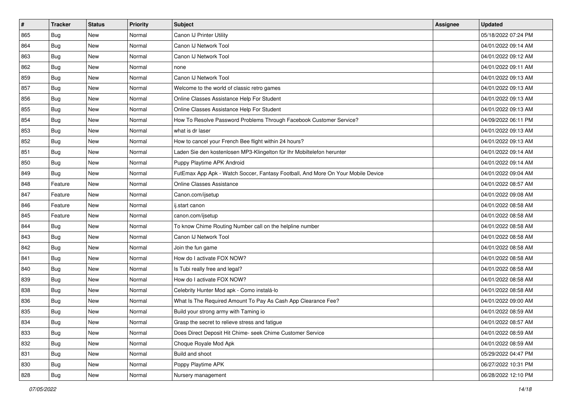| $\vert$ # | <b>Tracker</b> | <b>Status</b> | <b>Priority</b> | <b>Subject</b>                                                                   | <b>Assignee</b> | <b>Updated</b>      |
|-----------|----------------|---------------|-----------------|----------------------------------------------------------------------------------|-----------------|---------------------|
| 865       | Bug            | New           | Normal          | Canon IJ Printer Utility                                                         |                 | 05/18/2022 07:24 PM |
| 864       | Bug            | New           | Normal          | Canon IJ Network Tool                                                            |                 | 04/01/2022 09:14 AM |
| 863       | <b>Bug</b>     | New           | Normal          | Canon IJ Network Tool                                                            |                 | 04/01/2022 09:12 AM |
| 862       | <b>Bug</b>     | New           | Normal          | none                                                                             |                 | 04/01/2022 09:11 AM |
| 859       | <b>Bug</b>     | New           | Normal          | Canon IJ Network Tool                                                            |                 | 04/01/2022 09:13 AM |
| 857       | <b>Bug</b>     | New           | Normal          | Welcome to the world of classic retro games                                      |                 | 04/01/2022 09:13 AM |
| 856       | <b>Bug</b>     | New           | Normal          | Online Classes Assistance Help For Student                                       |                 | 04/01/2022 09:13 AM |
| 855       | <b>Bug</b>     | New           | Normal          | Online Classes Assistance Help For Student                                       |                 | 04/01/2022 09:13 AM |
| 854       | <b>Bug</b>     | New           | Normal          | How To Resolve Password Problems Through Facebook Customer Service?              |                 | 04/09/2022 06:11 PM |
| 853       | Bug            | New           | Normal          | what is dr laser                                                                 |                 | 04/01/2022 09:13 AM |
| 852       | <b>Bug</b>     | New           | Normal          | How to cancel your French Bee flight within 24 hours?                            |                 | 04/01/2022 09:13 AM |
| 851       | <b>Bug</b>     | New           | Normal          | Laden Sie den kostenlosen MP3-Klingelton für Ihr Mobiltelefon herunter           |                 | 04/01/2022 09:14 AM |
| 850       | <b>Bug</b>     | New           | Normal          | Puppy Playtime APK Android                                                       |                 | 04/01/2022 09:14 AM |
| 849       | <b>Bug</b>     | New           | Normal          | FutEmax App Apk - Watch Soccer, Fantasy Football, And More On Your Mobile Device |                 | 04/01/2022 09:04 AM |
| 848       | Feature        | New           | Normal          | Online Classes Assistance                                                        |                 | 04/01/2022 08:57 AM |
| 847       | Feature        | New           | Normal          | Canon.com/ijsetup                                                                |                 | 04/01/2022 09:08 AM |
| 846       | Feature        | New           | Normal          | ij.start canon                                                                   |                 | 04/01/2022 08:58 AM |
| 845       | Feature        | New           | Normal          | canon.com/ijsetup                                                                |                 | 04/01/2022 08:58 AM |
| 844       | Bug            | New           | Normal          | To know Chime Routing Number call on the helpline number                         |                 | 04/01/2022 08:58 AM |
| 843       | <b>Bug</b>     | New           | Normal          | Canon IJ Network Tool                                                            |                 | 04/01/2022 08:58 AM |
| 842       | Bug            | New           | Normal          | Join the fun game                                                                |                 | 04/01/2022 08:58 AM |
| 841       | Bug            | New           | Normal          | How do I activate FOX NOW?                                                       |                 | 04/01/2022 08:58 AM |
| 840       | Bug            | New           | Normal          | Is Tubi really free and legal?                                                   |                 | 04/01/2022 08:58 AM |
| 839       | <b>Bug</b>     | New           | Normal          | How do I activate FOX NOW?                                                       |                 | 04/01/2022 08:58 AM |
| 838       | <b>Bug</b>     | New           | Normal          | Celebrity Hunter Mod apk - Como instalá-lo                                       |                 | 04/01/2022 08:58 AM |
| 836       | Bug            | New           | Normal          | What Is The Required Amount To Pay As Cash App Clearance Fee?                    |                 | 04/01/2022 09:00 AM |
| 835       | <b>Bug</b>     | New           | Normal          | Build your strong army with Taming io                                            |                 | 04/01/2022 08:59 AM |
| 834       | I Bug          | New           | Normal          | Grasp the secret to relieve stress and fatigue                                   |                 | 04/01/2022 08:57 AM |
| 833       | Bug            | New           | Normal          | Does Direct Deposit Hit Chime- seek Chime Customer Service                       |                 | 04/01/2022 08:59 AM |
| 832       | <b>Bug</b>     | New           | Normal          | Choque Royale Mod Apk                                                            |                 | 04/01/2022 08:59 AM |
| 831       | Bug            | New           | Normal          | Build and shoot                                                                  |                 | 05/29/2022 04:47 PM |
| 830       | <b>Bug</b>     | New           | Normal          | Poppy Playtime APK                                                               |                 | 06/27/2022 10:31 PM |
| 828       | <b>Bug</b>     | New           | Normal          | Nursery management                                                               |                 | 06/28/2022 12:10 PM |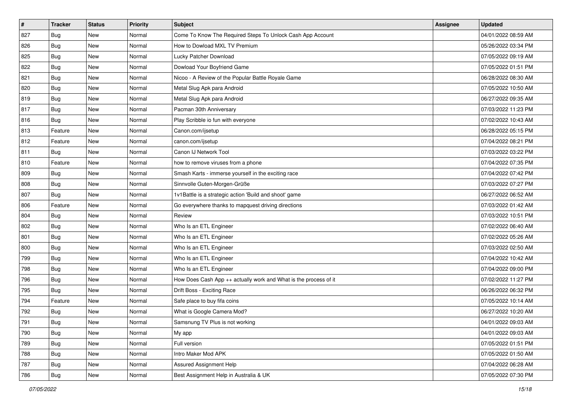| #   | <b>Tracker</b> | <b>Status</b> | <b>Priority</b> | <b>Subject</b>                                                   | <b>Assignee</b> | <b>Updated</b>      |
|-----|----------------|---------------|-----------------|------------------------------------------------------------------|-----------------|---------------------|
| 827 | <b>Bug</b>     | New           | Normal          | Come To Know The Required Steps To Unlock Cash App Account       |                 | 04/01/2022 08:59 AM |
| 826 | <b>Bug</b>     | New           | Normal          | How to Dowload MXL TV Premium                                    |                 | 05/26/2022 03:34 PM |
| 825 | <b>Bug</b>     | New           | Normal          | Lucky Patcher Download                                           |                 | 07/05/2022 09:19 AM |
| 822 | <b>Bug</b>     | New           | Normal          | Dowload Your Boyfriend Game                                      |                 | 07/05/2022 01:51 PM |
| 821 | Bug            | New           | Normal          | Nicoo - A Review of the Popular Battle Royale Game               |                 | 06/28/2022 08:30 AM |
| 820 | <b>Bug</b>     | New           | Normal          | Metal Slug Apk para Android                                      |                 | 07/05/2022 10:50 AM |
| 819 | <b>Bug</b>     | New           | Normal          | Metal Slug Apk para Android                                      |                 | 06/27/2022 09:35 AM |
| 817 | Bug            | New           | Normal          | Pacman 30th Anniversary                                          |                 | 07/03/2022 11:23 PM |
| 816 | Bug            | New           | Normal          | Play Scribble io fun with everyone                               |                 | 07/02/2022 10:43 AM |
| 813 | Feature        | New           | Normal          | Canon.com/ijsetup                                                |                 | 06/28/2022 05:15 PM |
| 812 | Feature        | New           | Normal          | canon.com/ijsetup                                                |                 | 07/04/2022 08:21 PM |
| 811 | Bug            | New           | Normal          | Canon IJ Network Tool                                            |                 | 07/03/2022 03:22 PM |
| 810 | Feature        | New           | Normal          | how to remove viruses from a phone                               |                 | 07/04/2022 07:35 PM |
| 809 | <b>Bug</b>     | New           | Normal          | Smash Karts - immerse yourself in the exciting race              |                 | 07/04/2022 07:42 PM |
| 808 | <b>Bug</b>     | New           | Normal          | Sinnvolle Guten-Morgen-Grüße                                     |                 | 07/03/2022 07:27 PM |
| 807 | Bug            | New           | Normal          | 1v1Battle is a strategic action 'Build and shoot' game           |                 | 06/27/2022 06:52 AM |
| 806 | Feature        | New           | Normal          | Go everywhere thanks to mapquest driving directions              |                 | 07/03/2022 01:42 AM |
| 804 | Bug            | New           | Normal          | Review                                                           |                 | 07/03/2022 10:51 PM |
| 802 | <b>Bug</b>     | New           | Normal          | Who Is an ETL Engineer                                           |                 | 07/02/2022 06:40 AM |
| 801 | <b>Bug</b>     | New           | Normal          | Who Is an ETL Engineer                                           |                 | 07/02/2022 05:26 AM |
| 800 | Bug            | New           | Normal          | Who Is an ETL Engineer                                           |                 | 07/03/2022 02:50 AM |
| 799 | <b>Bug</b>     | New           | Normal          | Who Is an ETL Engineer                                           |                 | 07/04/2022 10:42 AM |
| 798 | Bug            | New           | Normal          | Who Is an ETL Engineer                                           |                 | 07/04/2022 09:00 PM |
| 796 | <b>Bug</b>     | New           | Normal          | How Does Cash App ++ actually work and What is the process of it |                 | 07/02/2022 11:27 PM |
| 795 | Bug            | New           | Normal          | Drift Boss - Exciting Race                                       |                 | 06/26/2022 06:32 PM |
| 794 | Feature        | New           | Normal          | Safe place to buy fifa coins                                     |                 | 07/05/2022 10:14 AM |
| 792 | <b>Bug</b>     | New           | Normal          | What is Google Camera Mod?                                       |                 | 06/27/2022 10:20 AM |
| 791 | Bug            | New           | Normal          | Samsnung TV Plus is not working                                  |                 | 04/01/2022 09:03 AM |
| 790 | Bug            | New           | Normal          | My app                                                           |                 | 04/01/2022 09:03 AM |
| 789 | <b>Bug</b>     | New           | Normal          | Full version                                                     |                 | 07/05/2022 01:51 PM |
| 788 | Bug            | New           | Normal          | Intro Maker Mod APK                                              |                 | 07/05/2022 01:50 AM |
| 787 | <b>Bug</b>     | New           | Normal          | <b>Assured Assignment Help</b>                                   |                 | 07/04/2022 06:28 AM |
| 786 | Bug            | New           | Normal          | Best Assignment Help in Australia & UK                           |                 | 07/05/2022 07:30 PM |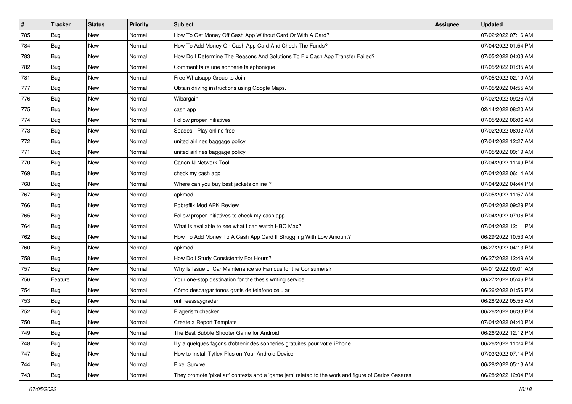| $\vert$ # | <b>Tracker</b> | <b>Status</b> | Priority | <b>Subject</b>                                                                                      | <b>Assignee</b> | <b>Updated</b>      |
|-----------|----------------|---------------|----------|-----------------------------------------------------------------------------------------------------|-----------------|---------------------|
| 785       | <b>Bug</b>     | New           | Normal   | How To Get Money Off Cash App Without Card Or With A Card?                                          |                 | 07/02/2022 07:16 AM |
| 784       | Bug            | <b>New</b>    | Normal   | How To Add Money On Cash App Card And Check The Funds?                                              |                 | 07/04/2022 01:54 PM |
| 783       | Bug            | New           | Normal   | How Do I Determine The Reasons And Solutions To Fix Cash App Transfer Failed?                       |                 | 07/05/2022 04:03 AM |
| 782       | Bug            | New           | Normal   | Comment faire une sonnerie téléphonique                                                             |                 | 07/05/2022 01:35 AM |
| 781       | <b>Bug</b>     | New           | Normal   | Free Whatsapp Group to Join                                                                         |                 | 07/05/2022 02:19 AM |
| 777       | <b>Bug</b>     | New           | Normal   | Obtain driving instructions using Google Maps.                                                      |                 | 07/05/2022 04:55 AM |
| 776       | Bug            | New           | Normal   | Wibargain                                                                                           |                 | 07/02/2022 09:26 AM |
| 775       | Bug            | New           | Normal   | cash app                                                                                            |                 | 02/14/2022 08:20 AM |
| 774       | <b>Bug</b>     | New           | Normal   | Follow proper initiatives                                                                           |                 | 07/05/2022 06:06 AM |
| 773       | Bug            | New           | Normal   | Spades - Play online free                                                                           |                 | 07/02/2022 08:02 AM |
| 772       | <b>Bug</b>     | New           | Normal   | united airlines baggage policy                                                                      |                 | 07/04/2022 12:27 AM |
| 771       | Bug            | New           | Normal   | united airlines baggage policy                                                                      |                 | 07/05/2022 09:19 AM |
| 770       | Bug            | New           | Normal   | Canon IJ Network Tool                                                                               |                 | 07/04/2022 11:49 PM |
| 769       | <b>Bug</b>     | New           | Normal   | check my cash app                                                                                   |                 | 07/04/2022 06:14 AM |
| 768       | Bug            | <b>New</b>    | Normal   | Where can you buy best jackets online?                                                              |                 | 07/04/2022 04:44 PM |
| 767       | Bug            | New           | Normal   | apkmod                                                                                              |                 | 07/05/2022 11:57 AM |
| 766       | Bug            | New           | Normal   | Pobreflix Mod APK Review                                                                            |                 | 07/04/2022 09:29 PM |
| 765       | Bug            | New           | Normal   | Follow proper initiatives to check my cash app                                                      |                 | 07/04/2022 07:06 PM |
| 764       | <b>Bug</b>     | New           | Normal   | What is available to see what I can watch HBO Max?                                                  |                 | 07/04/2022 12:11 PM |
| 762       | Bug            | New           | Normal   | How To Add Money To A Cash App Card If Struggling With Low Amount?                                  |                 | 06/29/2022 10:53 AM |
| 760       | Bug            | New           | Normal   | apkmod                                                                                              |                 | 06/27/2022 04:13 PM |
| 758       | <b>Bug</b>     | New           | Normal   | How Do I Study Consistently For Hours?                                                              |                 | 06/27/2022 12:49 AM |
| 757       | Bug            | New           | Normal   | Why Is Issue of Car Maintenance so Famous for the Consumers?                                        |                 | 04/01/2022 09:01 AM |
| 756       | Feature        | New           | Normal   | Your one-stop destination for the thesis writing service                                            |                 | 06/27/2022 05:46 PM |
| 754       | Bug            | New           | Normal   | Cómo descargar tonos gratis de teléfono celular                                                     |                 | 06/26/2022 01:56 PM |
| 753       | <b>Bug</b>     | New           | Normal   | onlineessaygrader                                                                                   |                 | 06/28/2022 05:55 AM |
| 752       | <b>Bug</b>     | New           | Normal   | Plagerism checker                                                                                   |                 | 06/26/2022 06:33 PM |
| 750       | Bug            | New           | Normal   | Create a Report Template                                                                            |                 | 07/04/2022 04:40 PM |
| 749       | Bug            | New           | Normal   | The Best Bubble Shooter Game for Android                                                            |                 | 06/26/2022 12:12 PM |
| 748       | Bug            | New           | Normal   | Il y a quelques façons d'obtenir des sonneries gratuites pour votre iPhone                          |                 | 06/26/2022 11:24 PM |
| 747       | Bug            | New           | Normal   | How to Install Tyflex Plus on Your Android Device                                                   |                 | 07/03/2022 07:14 PM |
| 744       | <b>Bug</b>     | New           | Normal   | <b>Pixel Survive</b>                                                                                |                 | 06/28/2022 05:13 AM |
| 743       | <b>Bug</b>     | New           | Normal   | They promote 'pixel art' contests and a 'game jam' related to the work and figure of Carlos Casares |                 | 06/28/2022 12:04 PM |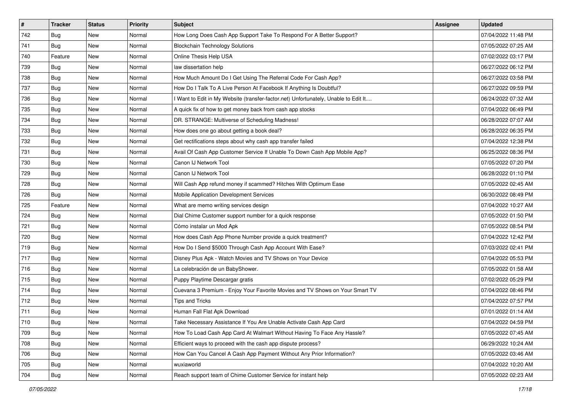| $\vert$ # | <b>Tracker</b> | <b>Status</b> | <b>Priority</b> | <b>Subject</b>                                                                      | Assignee | <b>Updated</b>      |
|-----------|----------------|---------------|-----------------|-------------------------------------------------------------------------------------|----------|---------------------|
| 742       | <b>Bug</b>     | New           | Normal          | How Long Does Cash App Support Take To Respond For A Better Support?                |          | 07/04/2022 11:48 PM |
| 741       | <b>Bug</b>     | <b>New</b>    | Normal          | <b>Blockchain Technology Solutions</b>                                              |          | 07/05/2022 07:25 AM |
| 740       | Feature        | New           | Normal          | Online Thesis Help USA                                                              |          | 07/02/2022 03:17 PM |
| 739       | <b>Bug</b>     | New           | Normal          | law dissertation help                                                               |          | 06/27/2022 06:12 PM |
| 738       | <b>Bug</b>     | New           | Normal          | How Much Amount Do I Get Using The Referral Code For Cash App?                      |          | 06/27/2022 03:58 PM |
| 737       | Bug            | New           | Normal          | How Do I Talk To A Live Person At Facebook If Anything Is Doubtful?                 |          | 06/27/2022 09:59 PM |
| 736       | <b>Bug</b>     | New           | Normal          | I Want to Edit in My Website (transfer-factor.net) Unfortunately, Unable to Edit It |          | 06/24/2022 07:32 AM |
| 735       | <b>Bug</b>     | New           | Normal          | A quick fix of how to get money back from cash app stocks                           |          | 07/04/2022 06:49 PM |
| 734       | <b>Bug</b>     | New           | Normal          | DR. STRANGE: Multiverse of Scheduling Madness!                                      |          | 06/28/2022 07:07 AM |
| 733       | Bug            | New           | Normal          | How does one go about getting a book deal?                                          |          | 06/28/2022 06:35 PM |
| 732       | <b>Bug</b>     | New           | Normal          | Get rectifications steps about why cash app transfer failed                         |          | 07/04/2022 12:38 PM |
| 731       | <b>Bug</b>     | New           | Normal          | Avail Of Cash App Customer Service If Unable To Down Cash App Mobile App?           |          | 06/25/2022 08:36 PM |
| 730       | Bug            | New           | Normal          | Canon IJ Network Tool                                                               |          | 07/05/2022 07:20 PM |
| 729       | Bug            | New           | Normal          | Canon IJ Network Tool                                                               |          | 06/28/2022 01:10 PM |
| 728       | <b>Bug</b>     | New           | Normal          | Will Cash App refund money if scammed? Hitches With Optimum Ease                    |          | 07/05/2022 02:45 AM |
| 726       | <b>Bug</b>     | New           | Normal          | Mobile Application Development Services                                             |          | 06/30/2022 08:49 PM |
| 725       | Feature        | New           | Normal          | What are memo writing services design                                               |          | 07/04/2022 10:27 AM |
| 724       | Bug            | New           | Normal          | Dial Chime Customer support number for a quick response                             |          | 07/05/2022 01:50 PM |
| 721       | <b>Bug</b>     | New           | Normal          | Cómo instalar un Mod Apk                                                            |          | 07/05/2022 08:54 PM |
| 720       | <b>Bug</b>     | New           | Normal          | How does Cash App Phone Number provide a quick treatment?                           |          | 07/04/2022 12:42 PM |
| 719       | <b>Bug</b>     | New           | Normal          | How Do I Send \$5000 Through Cash App Account With Ease?                            |          | 07/03/2022 02:41 PM |
| 717       | <b>Bug</b>     | New           | Normal          | Disney Plus Apk - Watch Movies and TV Shows on Your Device                          |          | 07/04/2022 05:53 PM |
| 716       | <b>Bug</b>     | New           | Normal          | La celebración de un BabyShower.                                                    |          | 07/05/2022 01:58 AM |
| 715       | <b>Bug</b>     | New           | Normal          | Puppy Playtime Descargar gratis                                                     |          | 07/02/2022 05:29 PM |
| 714       | <b>Bug</b>     | New           | Normal          | Cuevana 3 Premium - Enjoy Your Favorite Movies and TV Shows on Your Smart TV        |          | 07/04/2022 08:46 PM |
| 712       | <b>Bug</b>     | New           | Normal          | Tips and Tricks                                                                     |          | 07/04/2022 07:57 PM |
| 711       | <b>Bug</b>     | New           | Normal          | Human Fall Flat Apk Download                                                        |          | 07/01/2022 01:14 AM |
| 710       | Bug            | New           | Normal          | Take Necessary Assistance If You Are Unable Activate Cash App Card                  |          | 07/04/2022 04:59 PM |
| 709       | Bug            | New           | Normal          | How To Load Cash App Card At Walmart Without Having To Face Any Hassle?             |          | 07/05/2022 07:45 AM |
| 708       | Bug            | New           | Normal          | Efficient ways to proceed with the cash app dispute process?                        |          | 06/29/2022 10:24 AM |
| 706       | <b>Bug</b>     | New           | Normal          | How Can You Cancel A Cash App Payment Without Any Prior Information?                |          | 07/05/2022 03:46 AM |
| 705       | Bug            | New           | Normal          | wuxiaworld                                                                          |          | 07/04/2022 10:20 AM |
| 704       | <b>Bug</b>     | New           | Normal          | Reach support team of Chime Customer Service for instant help                       |          | 07/05/2022 02:23 AM |